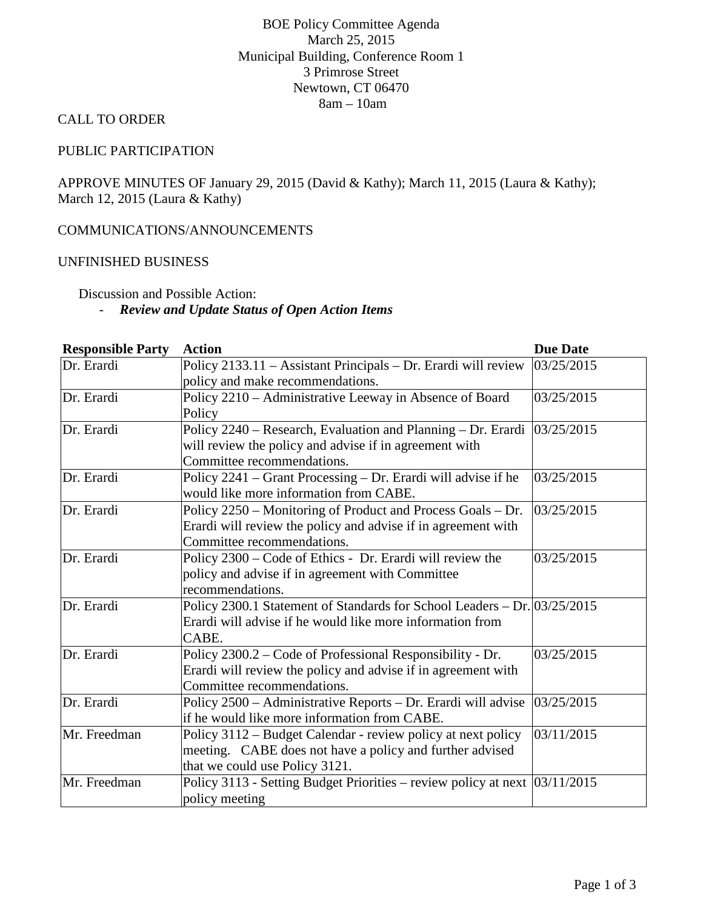## BOE Policy Committee Agenda March 25, 2015 Municipal Building, Conference Room 1 3 Primrose Street Newtown, CT 06470 8am – 10am

#### CALL TO ORDER

#### PUBLIC PARTICIPATION

APPROVE MINUTES OF January 29, 2015 (David & Kathy); March 11, 2015 (Laura & Kathy); March 12, 2015 (Laura & Kathy)

#### COMMUNICATIONS/ANNOUNCEMENTS

#### UNFINISHED BUSINESS

Discussion and Possible Action:

### - *Review and Update Status of Open Action Items*

| <b>Responsible Party</b> | <b>Action</b>                                                                  | <b>Due Date</b> |
|--------------------------|--------------------------------------------------------------------------------|-----------------|
| Dr. Erardi               | Policy 2133.11 - Assistant Principals - Dr. Erardi will review                 | 03/25/2015      |
|                          | policy and make recommendations.                                               |                 |
| Dr. Erardi               | Policy 2210 - Administrative Leeway in Absence of Board                        | 03/25/2015      |
|                          | Policy                                                                         |                 |
| Dr. Erardi               | Policy 2240 – Research, Evaluation and Planning – Dr. Erardi $ 03/25/2015 $    |                 |
|                          | will review the policy and advise if in agreement with                         |                 |
|                          | Committee recommendations.                                                     |                 |
| Dr. Erardi               | Policy 2241 – Grant Processing – Dr. Erardi will advise if he                  | 03/25/2015      |
|                          | would like more information from CABE.                                         |                 |
| Dr. Erardi               | Policy 2250 – Monitoring of Product and Process Goals – Dr.                    | 03/25/2015      |
|                          | Erardi will review the policy and advise if in agreement with                  |                 |
|                          | Committee recommendations.                                                     |                 |
| Dr. Erardi               | Policy 2300 – Code of Ethics - Dr. Erardi will review the                      | 03/25/2015      |
|                          | policy and advise if in agreement with Committee                               |                 |
|                          | recommendations.                                                               |                 |
| Dr. Erardi               | Policy 2300.1 Statement of Standards for School Leaders - Dr. 03/25/2015       |                 |
|                          | Erardi will advise if he would like more information from                      |                 |
|                          | CABE.                                                                          |                 |
| Dr. Erardi               | Policy 2300.2 – Code of Professional Responsibility - Dr.                      | 03/25/2015      |
|                          | Erardi will review the policy and advise if in agreement with                  |                 |
|                          | Committee recommendations.                                                     |                 |
| Dr. Erardi               | Policy 2500 – Administrative Reports – Dr. Erardi will advise                  | 03/25/2015      |
|                          | if he would like more information from CABE.                                   |                 |
| Mr. Freedman             | Policy 3112 – Budget Calendar - review policy at next policy                   | 03/11/2015      |
|                          | meeting. CABE does not have a policy and further advised                       |                 |
|                          | that we could use Policy 3121.                                                 |                 |
| Mr. Freedman             | Policy 3113 - Setting Budget Priorities – review policy at next $ 03/11/2015 $ |                 |
|                          | policy meeting                                                                 |                 |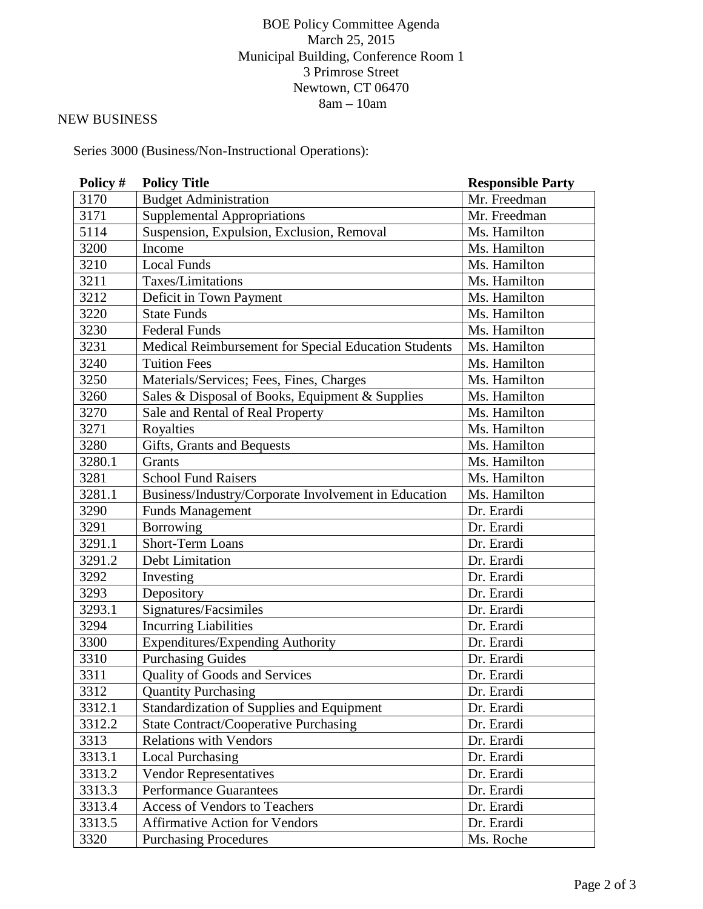# BOE Policy Committee Agenda March 25, 2015 Municipal Building, Conference Room 1 3 Primrose Street Newtown, CT 06470 8am – 10am

# NEW BUSINESS

Series 3000 (Business/Non-Instructional Operations):

| Policy #            | <b>Policy Title</b>                                  | <b>Responsible Party</b> |
|---------------------|------------------------------------------------------|--------------------------|
| 3170                | <b>Budget Administration</b>                         | Mr. Freedman             |
| 3171                | <b>Supplemental Appropriations</b>                   | Mr. Freedman             |
| 5114                | Suspension, Expulsion, Exclusion, Removal            | Ms. Hamilton             |
| 3200                | Income                                               | Ms. Hamilton             |
| 3210                | Local Funds                                          | Ms. Hamilton             |
| 3211                | Taxes/Limitations                                    | Ms. Hamilton             |
| 3212                | Deficit in Town Payment                              | Ms. Hamilton             |
| 3220                | <b>State Funds</b>                                   | Ms. Hamilton             |
| 3230                | <b>Federal Funds</b>                                 | Ms. Hamilton             |
| 3231                | Medical Reimbursement for Special Education Students | Ms. Hamilton             |
| 3240                | <b>Tuition Fees</b>                                  | Ms. Hamilton             |
| 3250                | Materials/Services; Fees, Fines, Charges             | Ms. Hamilton             |
| 3260                | Sales & Disposal of Books, Equipment & Supplies      | Ms. Hamilton             |
| 3270                | Sale and Rental of Real Property                     | Ms. Hamilton             |
| 3271                | Royalties                                            | Ms. Hamilton             |
| 3280                | Gifts, Grants and Bequests                           | Ms. Hamilton             |
| 3280.1              | Grants                                               | Ms. Hamilton             |
| 3281                | <b>School Fund Raisers</b>                           | Ms. Hamilton             |
| 3281.1              | Business/Industry/Corporate Involvement in Education | Ms. Hamilton             |
| 3290                | <b>Funds Management</b>                              | Dr. Erardi               |
| 3291                | Borrowing                                            | Dr. Erardi               |
| 3291.1              | <b>Short-Term Loans</b>                              | Dr. Erardi               |
| 3291.2              | <b>Debt Limitation</b>                               | Dr. Erardi               |
| 3292                | Investing                                            | Dr. Erardi               |
| 3293                | Depository                                           | Dr. Erardi               |
| 3293.1              | Signatures/Facsimiles                                | Dr. Erardi               |
| 3294                | <b>Incurring Liabilities</b>                         | Dr. Erardi               |
| 3300                | <b>Expenditures/Expending Authority</b>              | Dr. Erardi               |
| 3310                | <b>Purchasing Guides</b>                             | Dr. Erardi               |
| 3311                | <b>Quality of Goods and Services</b>                 | Dr. Erardi               |
| 3312                | <b>Quantity Purchasing</b>                           | Dr. Erardi               |
| 3312.1              | <b>Standardization of Supplies and Equipment</b>     | Dr. Erardi               |
| 3312.2              | <b>State Contract/Cooperative Purchasing</b>         | Dr. Erardi               |
| 3313                | <b>Relations with Vendors</b>                        | Dr. Erardi               |
| 3313.1              | <b>Local Purchasing</b>                              | Dr. Erardi               |
| 3313.2              | Vendor Representatives                               | Dr. Erardi               |
| 3313.3              | <b>Performance Guarantees</b>                        | Dr. Erardi               |
| 3313.4              | Access of Vendors to Teachers                        | Dr. Erardi               |
| $3313.\overline{5}$ | <b>Affirmative Action for Vendors</b>                | Dr. Erardi               |
| 3320                | <b>Purchasing Procedures</b>                         | Ms. Roche                |